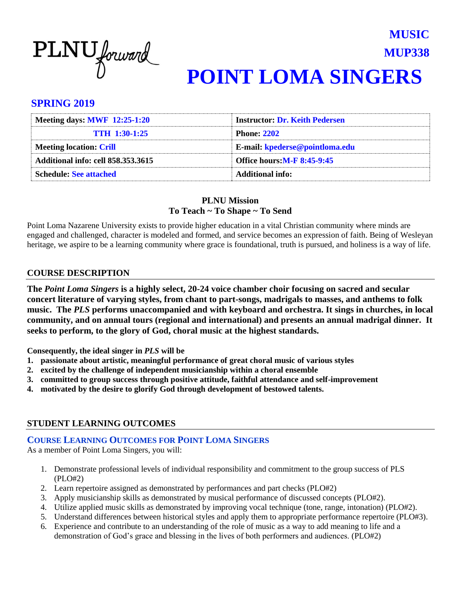

## **MUP338 POINT LOMA SINGERS**

**MUSIC**

#### **SPRING 2019**

| <b>Meeting days: MWF 12:25-1:20</b>       | <b>Instructor: Dr. Keith Pedersen</b> |
|-------------------------------------------|---------------------------------------|
| <b>TTH 1:30-1:25</b>                      | <b>Phone: 2202</b>                    |
| <b>Meeting location: Crill</b>            | E-mail: kpederse@pointloma.edu        |
| <b>Additional info: cell 858.353.3615</b> | <b>Office hours: M-F 8:45-9:45</b>    |
| <b>Schedule: See attached</b>             | <b>Additional info:</b>               |

#### **PLNU Mission To Teach ~ To Shape ~ To Send**

Point Loma Nazarene University exists to provide higher education in a vital Christian community where minds are engaged and challenged, character is modeled and formed, and service becomes an expression of faith. Being of Wesleyan heritage, we aspire to be a learning community where grace is foundational, truth is pursued, and holiness is a way of life.

#### **COURSE DESCRIPTION**

**The** *Point Loma Singers* **is a highly select, 20-24 voice chamber choir focusing on sacred and secular concert literature of varying styles, from chant to part-songs, madrigals to masses, and anthems to folk music. The** *PLS* **performs unaccompanied and with keyboard and orchestra. It sings in churches, in local community, and on annual tours (regional and international) and presents an annual madrigal dinner. It seeks to perform, to the glory of God, choral music at the highest standards.**

**Consequently, the ideal singer in** *PLS* **will be**

- **1. passionate about artistic, meaningful performance of great choral music of various styles**
- **2. excited by the challenge of independent musicianship within a choral ensemble**
- **3. committed to group success through positive attitude, faithful attendance and self-improvement**
- **4. motivated by the desire to glorify God through development of bestowed talents.**

#### **STUDENT LEARNING OUTCOMES**

#### **COURSE LEARNING OUTCOMES FOR POINT LOMA SINGERS**

As a member of Point Loma Singers, you will:

- 1. Demonstrate professional levels of individual responsibility and commitment to the group success of PLS (PLO#2)
- 2. Learn repertoire assigned as demonstrated by performances and part checks (PLO#2)
- 3. Apply musicianship skills as demonstrated by musical performance of discussed concepts (PLO#2).
- 4. Utilize applied music skills as demonstrated by improving vocal technique (tone, range, intonation) (PLO#2).
- 5. Understand differences between historical styles and apply them to appropriate performance repertoire (PLO#3).
- 6. Experience and contribute to an understanding of the role of music as a way to add meaning to life and a demonstration of God's grace and blessing in the lives of both performers and audiences. (PLO#2)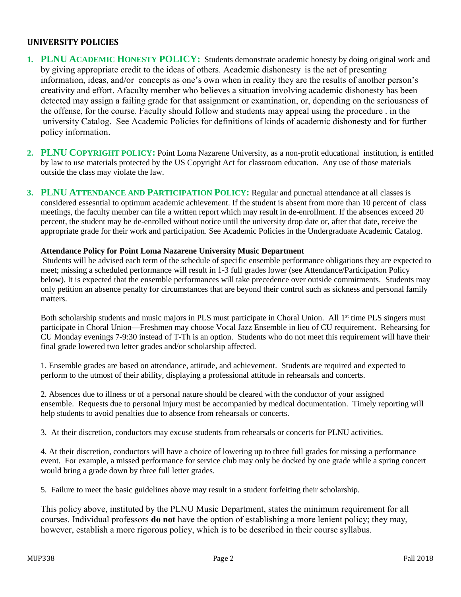#### **UNIVERSITY POLICIES**

- **1. PLNU ACADEMIC HONESTY POLICY:** Students demonstrate academic honesty by doing original work and by giving appropriate credit to the ideas of others. Academic dishonesty is the act of presenting information, ideas, and/or concepts as one's own when in reality they are the results of another person's creativity and effort. Afaculty member who believes a situation involving academic dishonesty has been detected may assign a failing grade for that assignment or examination, or, depending on the seriousness of the offense, for the course. Faculty should follow and students may appeal using the procedure . in the university Catalog. See Academic Policies for definitions of kinds of academic dishonesty and for further policy information.
- **2. PLNU COPYRIGHT POLICY:** Point Loma Nazarene University, as a non-profit educational institution, is entitled by law to use materials protected by the US Copyright Act for classroom education. Any use of those materials outside the class may violate the law.
- **3. PLNU ATTENDANCE AND PARTICIPATION POLICY:** Regular and punctual attendance at all classes is considered essesntial to optimum academic achievement. If the student is absent from more than 10 percent of class meetings, the faculty member can file a written report which may result in de-enrollment. If the absences exceed 20 percent, the student may be de-enrolled without notice until the university drop date or, after that date, receive the appropriate grade for their work and participation. See Academic Policies in the Undergraduate Academic Catalog.

#### **Attendance Policy for Point Loma Nazarene University Music Department**

Students will be advised each term of the schedule of specific ensemble performance obligations they are expected to meet; missing a scheduled performance will result in 1-3 full grades lower (see Attendance/Participation Policy below). It is expected that the ensemble performances will take precedence over outside commitments. Students may only petition an absence penalty for circumstances that are beyond their control such as sickness and personal family matters.

Both scholarship students and music majors in PLS must participate in Choral Union. All 1<sup>st</sup> time PLS singers must participate in Choral Union—Freshmen may choose Vocal Jazz Ensemble in lieu of CU requirement. Rehearsing for CU Monday evenings 7-9:30 instead of T-Th is an option. Students who do not meet this requirement will have their final grade lowered two letter grades and/or scholarship affected.

1. Ensemble grades are based on attendance, attitude, and achievement. Students are required and expected to perform to the utmost of their ability, displaying a professional attitude in rehearsals and concerts.

2. Absences due to illness or of a personal nature should be cleared with the conductor of your assigned ensemble. Requests due to personal injury must be accompanied by medical documentation. Timely reporting will help students to avoid penalties due to absence from rehearsals or concerts.

3. At their discretion, conductors may excuse students from rehearsals or concerts for PLNU activities.

4. At their discretion, conductors will have a choice of lowering up to three full grades for missing a performance event. For example, a missed performance for service club may only be docked by one grade while a spring concert would bring a grade down by three full letter grades.

5. Failure to meet the basic guidelines above may result in a student forfeiting their scholarship.

This policy above, instituted by the PLNU Music Department, states the minimum requirement for all courses. Individual professors **do not** have the option of establishing a more lenient policy; they may, however, establish a more rigorous policy, which is to be described in their course syllabus.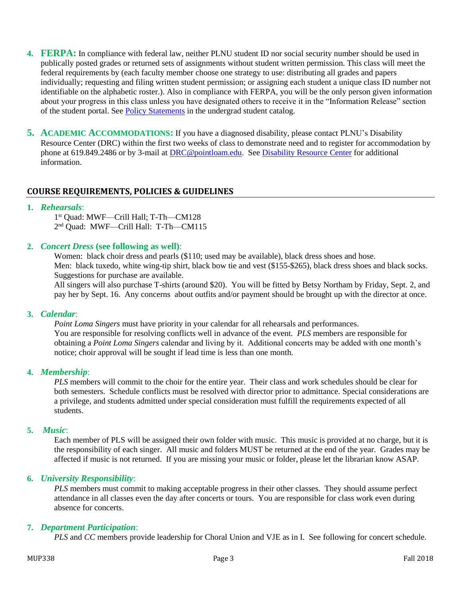- **4. FERPA:** In compliance with federal law, neither PLNU student ID nor social security number should be used in publically posted grades or returned sets of assignments without student written permission. This class will meet the federal requirements by (each faculty member choose one strategy to use: distributing all grades and papers individually; requesting and filing written student permission; or assigning each student a unique class ID number not identifiable on the alphabetic roster.). Also in compliance with FERPA, you will be the only person given information about your progress in this class unless you have designated others to receive it in the "Information Release" section of the student portal. See [Policy Statements](http://www.pointloma.edu/experience/academics/catalogs/undergraduate-catalog/policy-statements) in the undergrad student catalog.
- **5. ACADEMIC ACCOMMODATIONS:** If you have a diagnosed disability, please contact PLNU's Disability Resource Center (DRC) within the first two weeks of class to demonstrate need and to register for accommodation by phone at 619.849.2486 or by 3-mail at [DRC@pointloam.edu.](mailto:DRC@pointloam.edu) See [Disability Resource Center](http://www.pointloma.edu/experience/academics/catalogs/undergraduate-catalog/point-loma-education/academic-policies) for additional information.

#### **COURSE REQUIREMENTS, POLICIES & GUIDELINES**

#### **1.** *Rehearsals*:

1 st Quad: MWF—Crill Hall; T-Th—CM128 2 nd Quad: MWF—Crill Hall: T-Th—CM115

#### **2.** *Concert Dress* **(see following as well)**:

Women: black choir dress and pearls (\$110; used may be available), black dress shoes and hose. Men: black tuxedo, white wing-tip shirt, black bow tie and vest (\$155-\$265), black dress shoes and black socks. Suggestions for purchase are available.

All singers will also purchase T-shirts (around \$20). You will be fitted by Betsy Northam by Friday, Sept. 2, and pay her by Sept. 16. Any concerns about outfits and/or payment should be brought up with the director at once.

#### **3.** *Calendar*:

*Point Loma Singers* must have priority in your calendar for all rehearsals and performances. You are responsible for resolving conflicts well in advance of the event. *PLS* members are responsible for obtaining a *Point Loma Singers* calendar and living by it. Additional concerts may be added with one month's notice; choir approval will be sought if lead time is less than one month.

#### **4.** *Membership*:

*PLS* members will commit to the choir for the entire year. Their class and work schedules should be clear for both semesters. Schedule conflicts must be resolved with director prior to admittance. Special considerations are a privilege, and students admitted under special consideration must fulfill the requirements expected of all students.

#### **5.** *Music*:

Each member of PLS will be assigned their own folder with music. This music is provided at no charge, but it is the responsibility of each singer. All music and folders MUST be returned at the end of the year. Grades may be affected if music is not returned. If you are missing your music or folder, please let the librarian know ASAP.

#### **6.** *University Responsibility*:

*PLS* members must commit to making acceptable progress in their other classes. They should assume perfect attendance in all classes even the day after concerts or tours. You are responsible for class work even during absence for concerts.

#### **7.** *Department Participation*:

*PLS* and *CC* members provide leadership for Choral Union and VJE as in I. See following for concert schedule.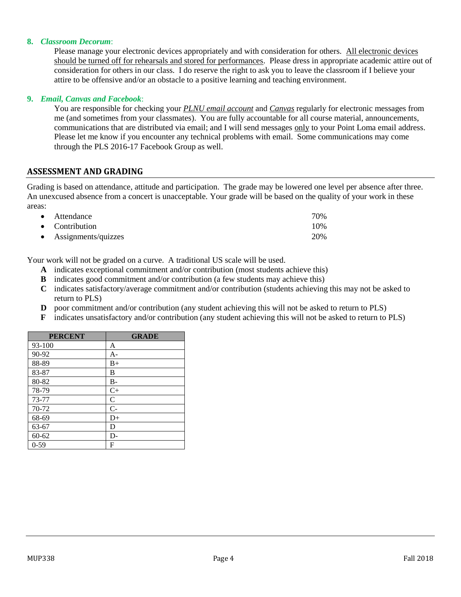#### **8.** *Classroom Decorum*:

Please manage your electronic devices appropriately and with consideration for others. All electronic devices should be turned off for rehearsals and stored for performances. Please dress in appropriate academic attire out of consideration for others in our class. I do reserve the right to ask you to leave the classroom if I believe your attire to be offensive and/or an obstacle to a positive learning and teaching environment.

#### **9.** *Email, Canvas and Facebook*:

You are responsible for checking your *PLNU email account* and *Canvas* regularly for electronic messages from me (and sometimes from your classmates). You are fully accountable for all course material, announcements, communications that are distributed via email; and I will send messages only to your Point Loma email address. Please let me know if you encounter any technical problems with email. Some communications may come through the PLS 2016-17 Facebook Group as well.

#### **ASSESSMENT AND GRADING**

Grading is based on attendance, attitude and participation. The grade may be lowered one level per absence after three. An unexcused absence from a concert is unacceptable. Your grade will be based on the quality of your work in these areas:

| • Attendance                  | 70% |
|-------------------------------|-----|
| $\bullet$ Contribution        | 10% |
| $\bullet$ Assignments/quizzes | 20% |

Your work will not be graded on a curve. A traditional US scale will be used.

- **A** indicates exceptional commitment and/or contribution (most students achieve this)
- **B** indicates good commitment and/or contribution (a few students may achieve this)
- **C** indicates satisfactory/average commitment and/or contribution (students achieving this may not be asked to return to PLS)
- **D** poor commitment and/or contribution (any student achieving this will not be asked to return to PLS)
- **F** indicates unsatisfactory and/or contribution (any student achieving this will not be asked to return to PLS)

| <b>PERCENT</b> | <b>GRADE</b> |
|----------------|--------------|
| 93-100         | Α            |
| 90-92          | $A-$         |
| 88-89          | $B+$         |
| 83-87          | B            |
| 80-82          | $B -$        |
| 78-79          | $C+$         |
| 73-77          | $\mathsf{C}$ |
| 70-72          | $C-$         |
| 68-69          | $D+$         |
| 63-67          | D            |
| $60 - 62$      | D-           |
| $0-59$         | F            |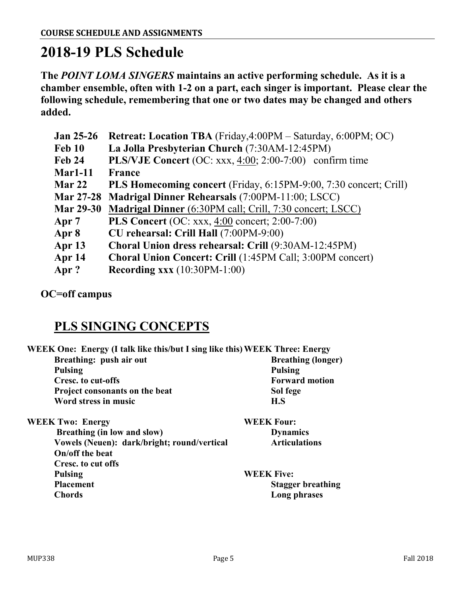## **2018-19 PLS Schedule**

**The** *POINT LOMA SINGERS* **maintains an active performing schedule. As it is a chamber ensemble, often with 1-2 on a part, each singer is important. Please clear the following schedule, remembering that one or two dates may be changed and others added.** 

| <b>Jan 25-26</b> | <b>Retreat: Location TBA</b> (Friday, 4:00PM – Saturday, 6:00PM; OC)     |  |  |
|------------------|--------------------------------------------------------------------------|--|--|
| <b>Feb 10</b>    | La Jolla Presbyterian Church (7:30AM-12:45PM)                            |  |  |
| <b>Feb 24</b>    | <b>PLS/VJE Concert</b> (OC: xxx, 4:00; 2:00-7:00) confirm time           |  |  |
| $Mar1-11$        | <b>France</b>                                                            |  |  |
| Mar 22           | <b>PLS Homecoming concert</b> (Friday, 6:15PM-9:00, 7:30 concert; Crill) |  |  |
| <b>Mar 27-28</b> | Madrigal Dinner Rehearsals (7:00PM-11:00; LSCC)                          |  |  |
| <b>Mar 29-30</b> | Madrigal Dinner (6:30PM call; Crill, 7:30 concert; LSCC)                 |  |  |
| Apr 7            | PLS Concert (OC: xxx, 4:00 concert; $2:00-7:00$ )                        |  |  |
| Apr 8            | CU rehearsal: Crill Hall (7:00PM-9:00)                                   |  |  |
| Apr 13           | Choral Union dress rehearsal: Crill (9:30AM-12:45PM)                     |  |  |
| Apr 14           | Choral Union Concert: Crill (1:45PM Call; 3:00PM concert)                |  |  |
| Apr?             | <b>Recording xxx</b> (10:30PM-1:00)                                      |  |  |

**OC=off campus**

### **PLS SINGING CONCEPTS**

| WEEK One: Energy (I talk like this/but I sing like this) WEEK Three: Energy |                           |  |
|-----------------------------------------------------------------------------|---------------------------|--|
| Breathing: push air out                                                     | <b>Breathing (longer)</b> |  |
| <b>Pulsing</b>                                                              | <b>Pulsing</b>            |  |
| <b>Cresc. to cut-offs</b>                                                   | <b>Forward motion</b>     |  |
| Project consonants on the beat                                              | Sol fege                  |  |
| Word stress in music                                                        | H.S                       |  |
| <b>WEEK Two: Energy</b>                                                     | <b>WEEK Four:</b>         |  |
| Breathing (in low and slow)                                                 | <b>Dynamics</b>           |  |
| Vowels (Neuen): dark/bright; round/vertical                                 | <b>Articulations</b>      |  |
| On/off the beat                                                             |                           |  |
| Cresc. to cut offs                                                          |                           |  |
| <b>Pulsing</b>                                                              | <b>WEEK Five:</b>         |  |

**Placement Stagger breathing Chords Long phrases**